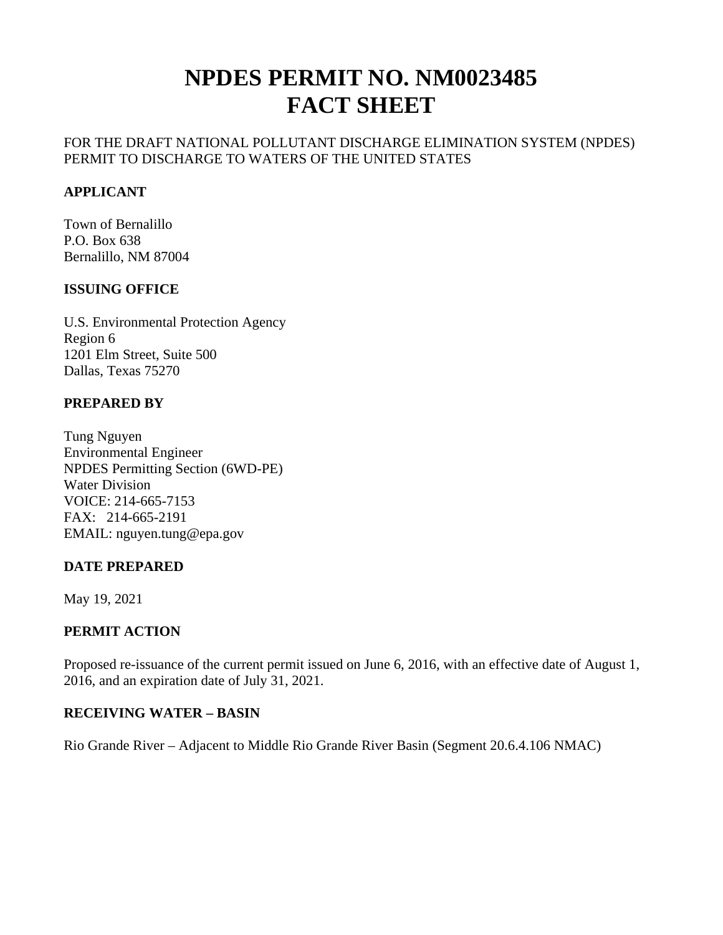# **NPDES PERMIT NO. NM0023485 FACT SHEET**

## FOR THE DRAFT NATIONAL POLLUTANT DISCHARGE ELIMINATION SYSTEM (NPDES) PERMIT TO DISCHARGE TO WATERS OF THE UNITED STATES

## **APPLICANT**

Town of Bernalillo P.O. Box 638 Bernalillo, NM 87004

#### **ISSUING OFFICE**

U.S. Environmental Protection Agency Region 6 1201 Elm Street, Suite 500 Dallas, Texas 75270

## **PREPARED BY**

Tung Nguyen Environmental Engineer NPDES Permitting Section (6WD-PE) Water Division VOICE: 214-665-7153 FAX: 214-665-2191 EMAIL: nguyen.tung@epa.gov

#### **DATE PREPARED**

May 19, 2021

#### **PERMIT ACTION**

Proposed re-issuance of the current permit issued on June 6, 2016, with an effective date of August 1, 2016, and an expiration date of July 31, 2021.

#### **RECEIVING WATER – BASIN**

Rio Grande River – Adjacent to Middle Rio Grande River Basin (Segment 20.6.4.106 NMAC)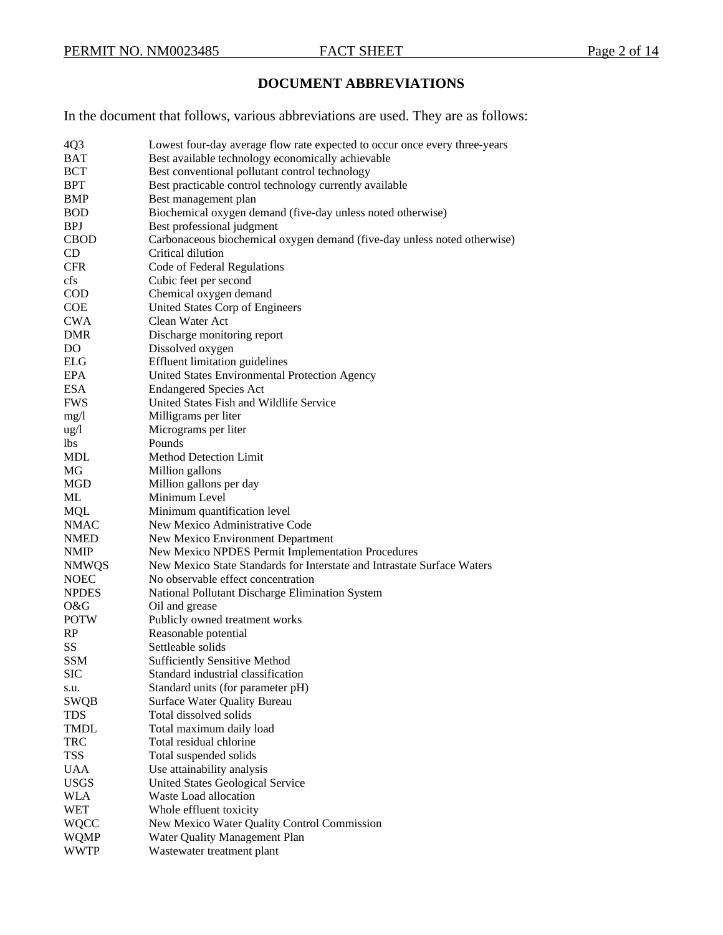## **DOCUMENT ABBREVIATIONS**

In the document that follows, various abbreviations are used. They are as follows:

| 4Q <sub>3</sub> | Lowest four-day average flow rate expected to occur once every three-years |
|-----------------|----------------------------------------------------------------------------|
| <b>BAT</b>      | Best available technology economically achievable                          |
| <b>BCT</b>      | Best conventional pollutant control technology                             |
| <b>BPT</b>      | Best practicable control technology currently available                    |
| <b>BMP</b>      | Best management plan                                                       |
| <b>BOD</b>      | Biochemical oxygen demand (five-day unless noted otherwise)                |
| <b>BPJ</b>      | Best professional judgment                                                 |
| <b>CBOD</b>     | Carbonaceous biochemical oxygen demand (five-day unless noted otherwise)   |
| <b>CD</b>       | Critical dilution                                                          |
| <b>CFR</b>      | Code of Federal Regulations                                                |
| cfs             | Cubic feet per second                                                      |
| <b>COD</b>      | Chemical oxygen demand                                                     |
| <b>COE</b>      | United States Corp of Engineers                                            |
| <b>CWA</b>      | Clean Water Act                                                            |
| DMR             | Discharge monitoring report                                                |
| DO              | Dissolved oxygen                                                           |
| <b>ELG</b>      | <b>Effluent limitation guidelines</b>                                      |
| <b>EPA</b>      | United States Environmental Protection Agency                              |
| <b>ESA</b>      | <b>Endangered Species Act</b>                                              |
| <b>FWS</b>      | United States Fish and Wildlife Service                                    |
| mg/1            | Milligrams per liter                                                       |
| ug/l            | Micrograms per liter                                                       |
| lbs.            | Pounds                                                                     |
| <b>MDL</b>      | <b>Method Detection Limit</b>                                              |
| MG              | Million gallons                                                            |
| MGD             | Million gallons per day                                                    |
| ML              | Minimum Level                                                              |
| <b>MQL</b>      | Minimum quantification level                                               |
| <b>NMAC</b>     | New Mexico Administrative Code                                             |
| <b>NMED</b>     | New Mexico Environment Department                                          |
| <b>NMIP</b>     | New Mexico NPDES Permit Implementation Procedures                          |
| <b>NMWQS</b>    | New Mexico State Standards for Interstate and Intrastate Surface Waters    |
| <b>NOEC</b>     | No observable effect concentration                                         |
| <b>NPDES</b>    | National Pollutant Discharge Elimination System                            |
| O&G             | Oil and grease                                                             |
| <b>POTW</b>     | Publicly owned treatment works                                             |
| RP              | Reasonable potential                                                       |
| SS              | Settleable solids                                                          |
| <b>SSM</b>      | <b>Sufficiently Sensitive Method</b>                                       |
| <b>SIC</b>      | Standard industrial classification                                         |
| s.u.            | Standard units (for parameter pH)                                          |
| <b>SWQB</b>     | <b>Surface Water Quality Bureau</b>                                        |
| <b>TDS</b>      | Total dissolved solids                                                     |
| TMDL            | Total maximum daily load                                                   |
| <b>TRC</b>      | Total residual chlorine                                                    |
| <b>TSS</b>      | Total suspended solids                                                     |
| <b>UAA</b>      | Use attainability analysis                                                 |
| <b>USGS</b>     | United States Geological Service                                           |
| WLA             | Waste Load allocation                                                      |
| WET             | Whole effluent toxicity                                                    |
| WQCC            | New Mexico Water Quality Control Commission                                |
| <b>WQMP</b>     | Water Quality Management Plan                                              |
| WWTP            | Wastewater treatment plant                                                 |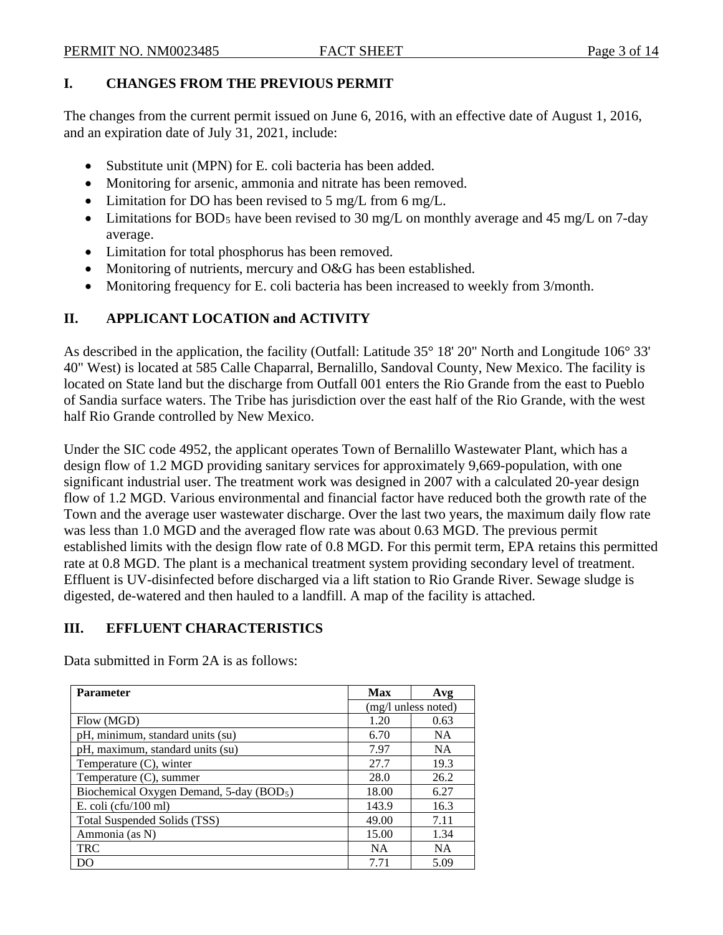### **I. CHANGES FROM THE PREVIOUS PERMIT**

The changes from the current permit issued on June 6, 2016, with an effective date of August 1, 2016, and an expiration date of July 31, 2021, include:

- Substitute unit (MPN) for E. coli bacteria has been added.
- Monitoring for arsenic, ammonia and nitrate has been removed.
- Limitation for DO has been revised to 5 mg/L from 6 mg/L.
- Limitations for BOD<sub>5</sub> have been revised to 30 mg/L on monthly average and 45 mg/L on 7-day average.
- Limitation for total phosphorus has been removed.
- Monitoring of nutrients, mercury and O&G has been established.
- Monitoring frequency for E. coli bacteria has been increased to weekly from 3/month.

# **II. APPLICANT LOCATION and ACTIVITY**

As described in the application, the facility (Outfall: Latitude 35° 18' 20" North and Longitude 106° 33' 40" West) is located at 585 Calle Chaparral, Bernalillo, Sandoval County, New Mexico. The facility is located on State land but the discharge from Outfall 001 enters the Rio Grande from the east to Pueblo of Sandia surface waters. The Tribe has jurisdiction over the east half of the Rio Grande, with the west half Rio Grande controlled by New Mexico.

Under the SIC code 4952, the applicant operates Town of Bernalillo Wastewater Plant, which has a design flow of 1.2 MGD providing sanitary services for approximately 9,669-population, with one significant industrial user. The treatment work was designed in 2007 with a calculated 20-year design flow of 1.2 MGD. Various environmental and financial factor have reduced both the growth rate of the Town and the average user wastewater discharge. Over the last two years, the maximum daily flow rate was less than 1.0 MGD and the averaged flow rate was about 0.63 MGD. The previous permit established limits with the design flow rate of 0.8 MGD. For this permit term, EPA retains this permitted rate at 0.8 MGD. The plant is a mechanical treatment system providing secondary level of treatment. Effluent is UV-disinfected before discharged via a lift station to Rio Grande River. Sewage sludge is digested, de-watered and then hauled to a landfill. A map of the facility is attached.

# **III. EFFLUENT CHARACTERISTICS**

Data submitted in Form 2A is as follows:

| <b>Parameter</b>                                     | <b>Max</b> | Avg                 |
|------------------------------------------------------|------------|---------------------|
|                                                      |            | (mg/l unless noted) |
| Flow (MGD)                                           | 1.20       | 0.63                |
| pH, minimum, standard units (su)                     | 6.70       | <b>NA</b>           |
| pH, maximum, standard units (su)                     | 7.97       | <b>NA</b>           |
| Temperature (C), winter                              | 27.7       | 19.3                |
| Temperature (C), summer                              | 28.0       | 26.2                |
| Biochemical Oxygen Demand, 5-day (BOD <sub>5</sub> ) | 18.00      | 6.27                |
| E. coli (cfu/100 ml)                                 | 143.9      | 16.3                |
| Total Suspended Solids (TSS)                         | 49.00      | 7.11                |
| Ammonia (as N)                                       | 15.00      | 1.34                |
| <b>TRC</b>                                           | <b>NA</b>  | <b>NA</b>           |
| DO                                                   | 7.71       | 5.09                |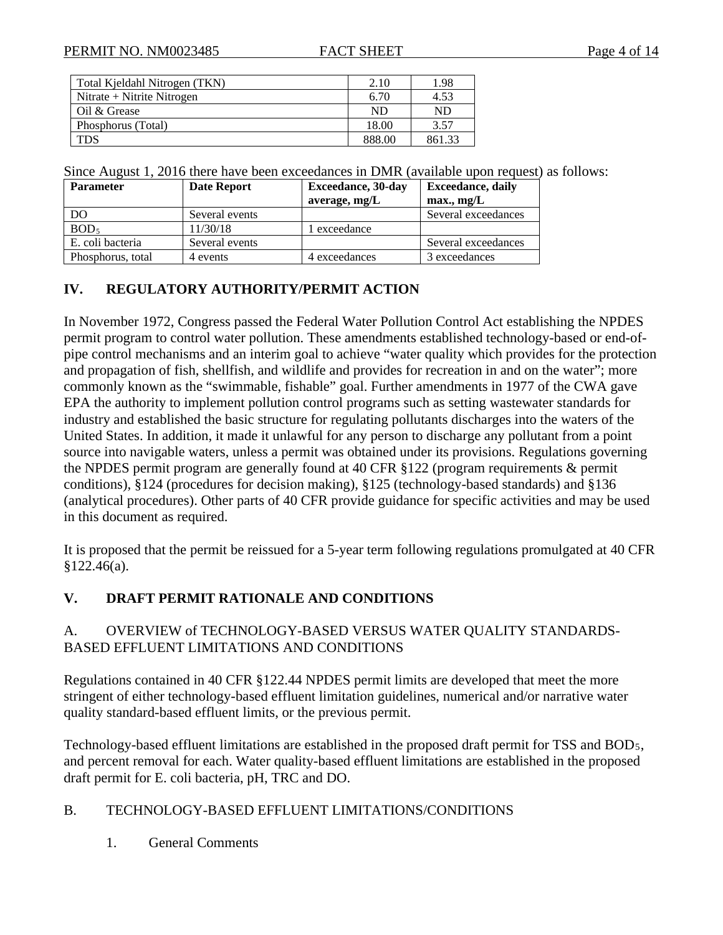| Total Kieldahl Nitrogen (TKN) | 2.10   | 1.98   |
|-------------------------------|--------|--------|
| Nitrate + Nitrite Nitrogen    | 6.70   | 4.53   |
| Oil & Grease                  | ND     | ND     |
| Phosphorus (Total)            | 18.00  | 3.57   |
| TDS                           | 888.00 | 861.33 |

Since August 1, 2016 there have been exceedances in DMR (available upon request) as follows:

| <b>Parameter</b>  | Date Report    | <b>Exceedance</b> , 30-day | <b>Exceedance</b> , daily |
|-------------------|----------------|----------------------------|---------------------------|
|                   |                | average, mg/L              | max., mg/L                |
| DO                | Several events |                            | Several exceedances       |
| BOD <sub>5</sub>  | 11/30/18       | l exceedance               |                           |
| E. coli bacteria  | Several events |                            | Several exceedances       |
| Phosphorus, total | 4 events       | 4 exceedances              | 3 exceedances             |

## **IV. REGULATORY AUTHORITY/PERMIT ACTION**

In November 1972, Congress passed the Federal Water Pollution Control Act establishing the NPDES permit program to control water pollution. These amendments established technology-based or end-ofpipe control mechanisms and an interim goal to achieve "water quality which provides for the protection and propagation of fish, shellfish, and wildlife and provides for recreation in and on the water"; more commonly known as the "swimmable, fishable" goal. Further amendments in 1977 of the CWA gave EPA the authority to implement pollution control programs such as setting wastewater standards for industry and established the basic structure for regulating pollutants discharges into the waters of the United States. In addition, it made it unlawful for any person to discharge any pollutant from a point source into navigable waters, unless a permit was obtained under its provisions. Regulations governing the NPDES permit program are generally found at 40 CFR §122 (program requirements & permit conditions), §124 (procedures for decision making), §125 (technology-based standards) and §136 (analytical procedures). Other parts of 40 CFR provide guidance for specific activities and may be used in this document as required.

It is proposed that the permit be reissued for a 5-year term following regulations promulgated at 40 CFR §122.46(a).

# **V. DRAFT PERMIT RATIONALE AND CONDITIONS**

#### A. OVERVIEW of TECHNOLOGY-BASED VERSUS WATER QUALITY STANDARDS-BASED EFFLUENT LIMITATIONS AND CONDITIONS

Regulations contained in 40 CFR §122.44 NPDES permit limits are developed that meet the more stringent of either technology-based effluent limitation guidelines, numerical and/or narrative water quality standard-based effluent limits, or the previous permit.

Technology-based effluent limitations are established in the proposed draft permit for TSS and BOD5, and percent removal for each. Water quality-based effluent limitations are established in the proposed draft permit for E. coli bacteria, pH, TRC and DO.

#### B. TECHNOLOGY-BASED EFFLUENT LIMITATIONS/CONDITIONS

1. General Comments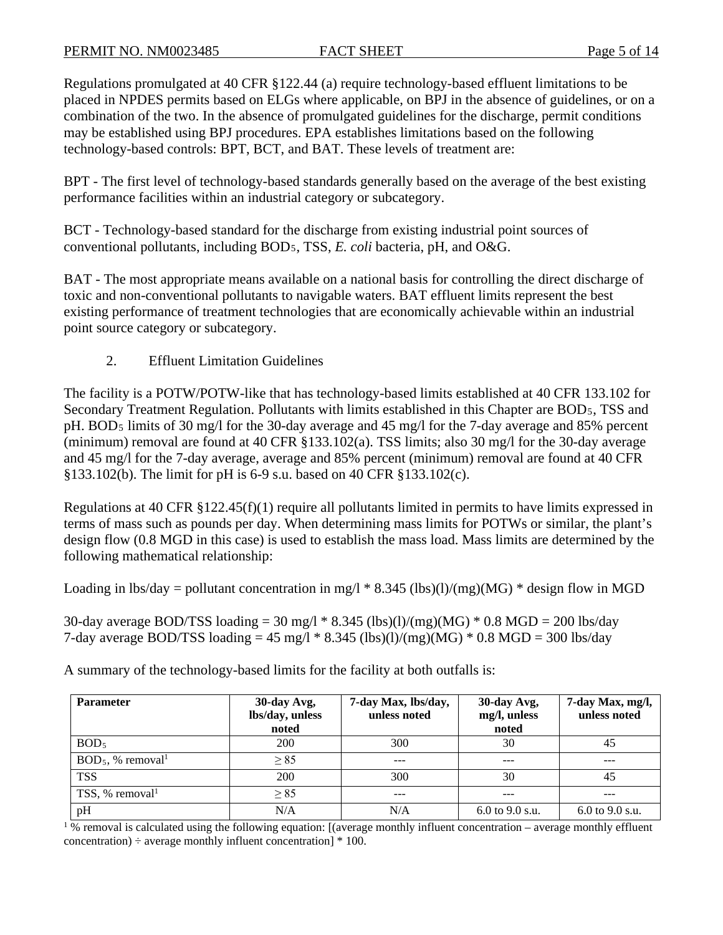Regulations promulgated at 40 CFR §122.44 (a) require technology-based effluent limitations to be placed in NPDES permits based on ELGs where applicable, on BPJ in the absence of guidelines, or on a combination of the two. In the absence of promulgated guidelines for the discharge, permit conditions may be established using BPJ procedures. EPA establishes limitations based on the following technology-based controls: BPT, BCT, and BAT. These levels of treatment are:

BPT - The first level of technology-based standards generally based on the average of the best existing performance facilities within an industrial category or subcategory.

BCT - Technology-based standard for the discharge from existing industrial point sources of conventional pollutants, including BOD5, TSS, *E. coli* bacteria, pH, and O&G.

BAT - The most appropriate means available on a national basis for controlling the direct discharge of toxic and non-conventional pollutants to navigable waters. BAT effluent limits represent the best existing performance of treatment technologies that are economically achievable within an industrial point source category or subcategory.

2. Effluent Limitation Guidelines

The facility is a POTW/POTW-like that has technology-based limits established at 40 CFR 133.102 for Secondary Treatment Regulation. Pollutants with limits established in this Chapter are BOD5, TSS and pH. BOD5 limits of 30 mg/l for the 30-day average and 45 mg/l for the 7-day average and 85% percent (minimum) removal are found at 40 CFR §133.102(a). TSS limits; also 30 mg/l for the 30-day average and 45 mg/l for the 7-day average, average and 85% percent (minimum) removal are found at 40 CFR §133.102(b). The limit for pH is 6-9 s.u. based on 40 CFR §133.102(c).

Regulations at 40 CFR §122.45(f)(1) require all pollutants limited in permits to have limits expressed in terms of mass such as pounds per day. When determining mass limits for POTWs or similar, the plant's design flow (0.8 MGD in this case) is used to establish the mass load. Mass limits are determined by the following mathematical relationship:

Loading in lbs/day = pollutant concentration in mg/l  $*$  8.345 (lbs)(l)/(mg)(MG)  $*$  design flow in MGD

30-day average BOD/TSS loading = 30 mg/l  $*$  8.345 (lbs)(l)/(mg)(MG)  $*$  0.8 MGD = 200 lbs/day 7-day average BOD/TSS loading =  $45 \text{ mg/l} * 8.345 \text{ (lbs)}(l)/(mg)(MG) * 0.8 \text{ MGD} = 300 \text{ lbs/day}$ 

**Parameter 30-day Avg, lbs/day, unless noted 7-day Max, lbs/day, unless noted 30-day Avg, mg/l, unless noted 7-day Max, mg/l, unless noted**  $BOD_5$  200  $\Big|$  300  $\Big|$  30 30  $\Big|$  45  $BOD_5$ , % removal<sup>1</sup>  $\geq 85$  ---  $\geq -25$  ---TSS 200 300 300 30 30 45 TSS, % removal<sup>1</sup>  $\geq 85$  ---  $\geq -2$  ---  $\geq -1$  --pH  $N/A$   $N/A$  6.0 to 9.0 s.u. 6.0 to 9.0 s.u.

A summary of the technology-based limits for the facility at both outfalls is:

 $%$  removal is calculated using the following equation: [(average monthly influent concentration – average monthly effluent concentration)  $\div$  average monthly influent concentration]  $*$  100.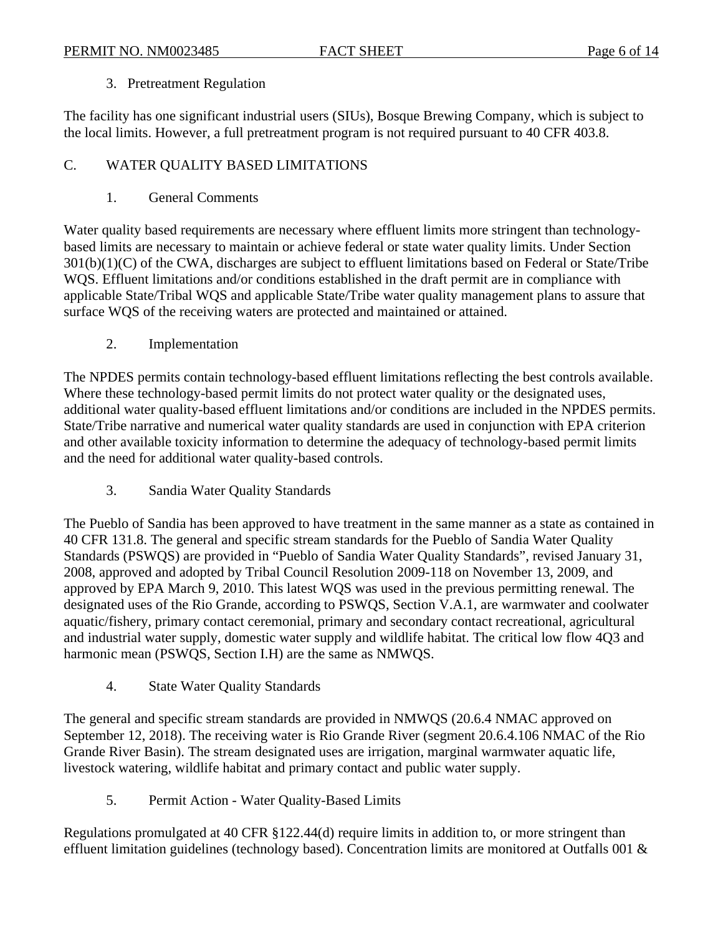## 3. Pretreatment Regulation

The facility has one significant industrial users (SIUs), Bosque Brewing Company, which is subject to the local limits. However, a full pretreatment program is not required pursuant to 40 CFR 403.8.

# C. WATER QUALITY BASED LIMITATIONS

1. General Comments

Water quality based requirements are necessary where effluent limits more stringent than technologybased limits are necessary to maintain or achieve federal or state water quality limits. Under Section 301(b)(1)(C) of the CWA, discharges are subject to effluent limitations based on Federal or State/Tribe WQS. Effluent limitations and/or conditions established in the draft permit are in compliance with applicable State/Tribal WQS and applicable State/Tribe water quality management plans to assure that surface WQS of the receiving waters are protected and maintained or attained.

2. Implementation

The NPDES permits contain technology-based effluent limitations reflecting the best controls available. Where these technology-based permit limits do not protect water quality or the designated uses, additional water quality-based effluent limitations and/or conditions are included in the NPDES permits. State/Tribe narrative and numerical water quality standards are used in conjunction with EPA criterion and other available toxicity information to determine the adequacy of technology-based permit limits and the need for additional water quality-based controls.

3. Sandia Water Quality Standards

The Pueblo of Sandia has been approved to have treatment in the same manner as a state as contained in 40 CFR 131.8. The general and specific stream standards for the Pueblo of Sandia Water Quality Standards (PSWQS) are provided in "Pueblo of Sandia Water Quality Standards", revised January 31, 2008, approved and adopted by Tribal Council Resolution 2009-118 on November 13, 2009, and approved by EPA March 9, 2010. This latest WQS was used in the previous permitting renewal. The designated uses of the Rio Grande, according to PSWQS, Section V.A.1, are warmwater and coolwater aquatic/fishery, primary contact ceremonial, primary and secondary contact recreational, agricultural and industrial water supply, domestic water supply and wildlife habitat. The critical low flow 4Q3 and harmonic mean (PSWQS, Section I.H) are the same as NMWQS.

4. State Water Quality Standards

The general and specific stream standards are provided in NMWQS (20.6.4 NMAC approved on September 12, 2018). The receiving water is Rio Grande River (segment 20.6.4.106 NMAC of the Rio Grande River Basin). The stream designated uses are irrigation, marginal warmwater aquatic life, livestock watering, wildlife habitat and primary contact and public water supply.

5. Permit Action - Water Quality-Based Limits

Regulations promulgated at 40 CFR §122.44(d) require limits in addition to, or more stringent than effluent limitation guidelines (technology based). Concentration limits are monitored at Outfalls 001 &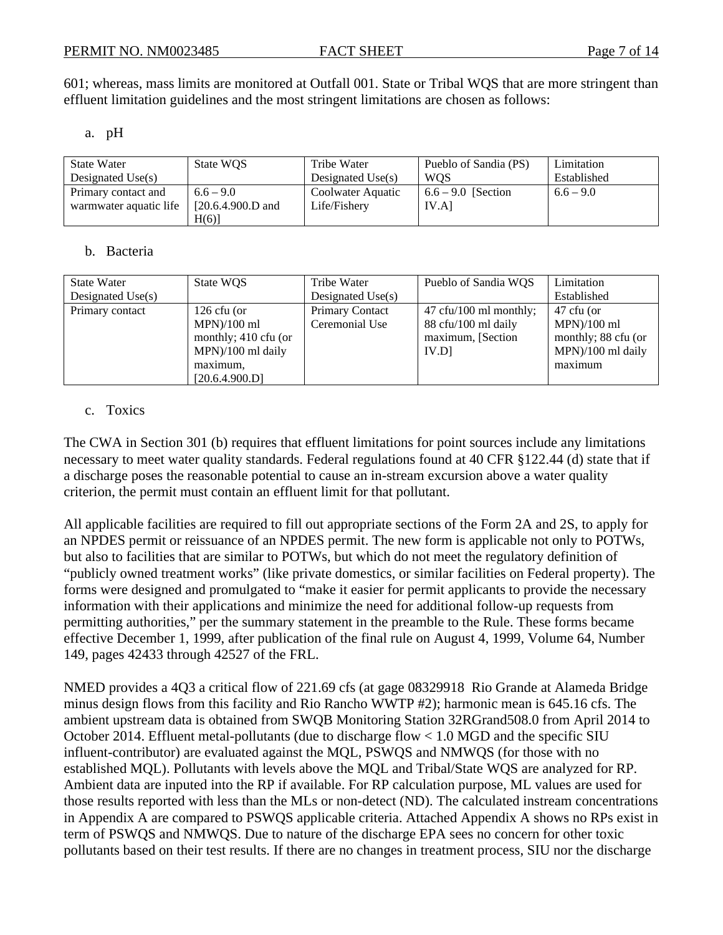601; whereas, mass limits are monitored at Outfall 001. State or Tribal WQS that are more stringent than effluent limitation guidelines and the most stringent limitations are chosen as follows:

#### a. pH

| <b>State Water</b><br>Designated $Use(s)$ | State WQS           | Tribe Water<br>Designated $Use(s)$ | Pueblo of Sandia (PS)<br><b>WOS</b> | Limitation<br>Established |
|-------------------------------------------|---------------------|------------------------------------|-------------------------------------|---------------------------|
| Primary contact and                       | $6.6 - 9.0$         | Coolwater Aquatic                  | $6.6 - 9.0$ [Section]               | $6.6 - 9.0$               |
| warmwater aquatic life                    | $[20.6.4.900.D$ and | Life/Fishery                       | IV.A                                |                           |
|                                           | H(6)                |                                    |                                     |                           |

#### b. Bacteria

| <b>State Water</b>  | State WQS            | Tribe Water            | Pueblo of Sandia WQS                      | Limitation          |
|---------------------|----------------------|------------------------|-------------------------------------------|---------------------|
| Designated $Use(s)$ |                      | Designated $Use(s)$    |                                           | Established         |
| Primary contact     | $126$ cfu (or        | <b>Primary Contact</b> | $47 \text{ cft}/100 \text{ ml monthly}$ ; | 47 cfu (or          |
|                     | $MPN)/100$ ml        | Ceremonial Use         | 88 cfu/100 ml daily                       | $MPN)/100$ ml       |
|                     | monthly; 410 cfu (or |                        | maximum, [Section]                        | monthly; 88 cfu (or |
|                     | $MPN$ /100 ml daily  |                        | IV.D1                                     | $MPN$ /100 ml daily |
|                     | maximum,             |                        |                                           | maximum             |
|                     | [20.6.4.900.D]       |                        |                                           |                     |

#### c. Toxics

The CWA in Section 301 (b) requires that effluent limitations for point sources include any limitations necessary to meet water quality standards. Federal regulations found at 40 CFR §122.44 (d) state that if a discharge poses the reasonable potential to cause an in-stream excursion above a water quality criterion, the permit must contain an effluent limit for that pollutant.

All applicable facilities are required to fill out appropriate sections of the Form 2A and 2S, to apply for an NPDES permit or reissuance of an NPDES permit. The new form is applicable not only to POTWs, but also to facilities that are similar to POTWs, but which do not meet the regulatory definition of "publicly owned treatment works" (like private domestics, or similar facilities on Federal property). The forms were designed and promulgated to "make it easier for permit applicants to provide the necessary information with their applications and minimize the need for additional follow-up requests from permitting authorities," per the summary statement in the preamble to the Rule. These forms became effective December 1, 1999, after publication of the final rule on August 4, 1999, Volume 64, Number 149, pages 42433 through 42527 of the FRL.

NMED provides a 4Q3 a critical flow of 221.69 cfs (at gage 08329918 Rio Grande at Alameda Bridge minus design flows from this facility and Rio Rancho WWTP #2); harmonic mean is 645.16 cfs. The ambient upstream data is obtained from SWQB Monitoring Station 32RGrand508.0 from April 2014 to October 2014. Effluent metal-pollutants (due to discharge flow < 1.0 MGD and the specific SIU influent-contributor) are evaluated against the MQL, PSWQS and NMWQS (for those with no established MQL). Pollutants with levels above the MQL and Tribal/State WQS are analyzed for RP. Ambient data are inputed into the RP if available. For RP calculation purpose, ML values are used for those results reported with less than the MLs or non-detect (ND). The calculated instream concentrations in Appendix A are compared to PSWQS applicable criteria. Attached Appendix A shows no RPs exist in term of PSWQS and NMWQS. Due to nature of the discharge EPA sees no concern for other toxic pollutants based on their test results. If there are no changes in treatment process, SIU nor the discharge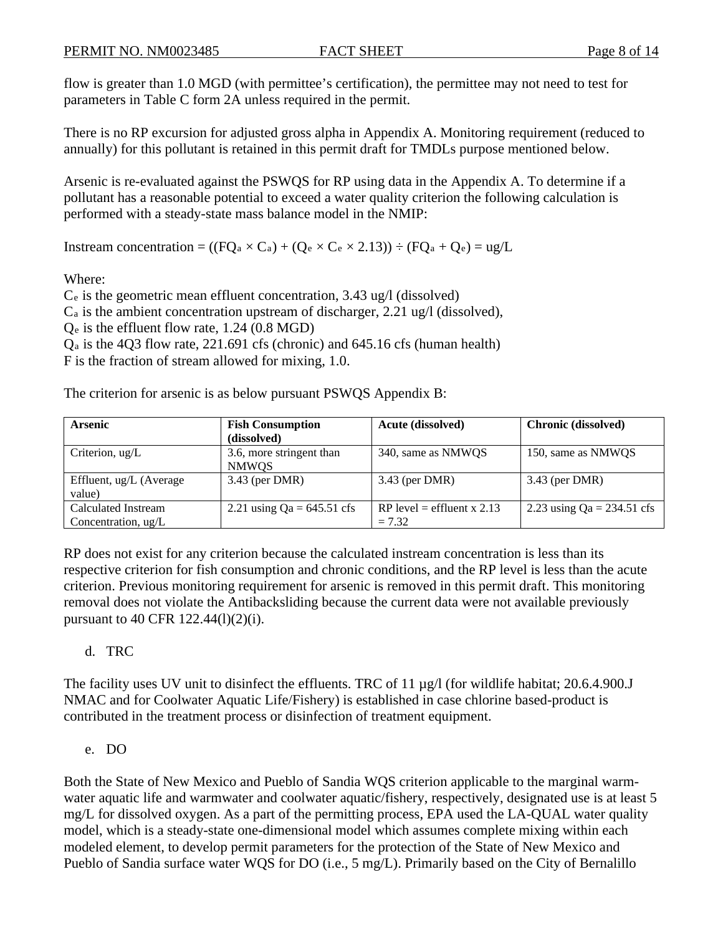flow is greater than 1.0 MGD (with permittee's certification), the permittee may not need to test for parameters in Table C form 2A unless required in the permit.

There is no RP excursion for adjusted gross alpha in Appendix A. Monitoring requirement (reduced to annually) for this pollutant is retained in this permit draft for TMDLs purpose mentioned below.

Arsenic is re-evaluated against the PSWQS for RP using data in the Appendix A. To determine if a pollutant has a reasonable potential to exceed a water quality criterion the following calculation is performed with a steady-state mass balance model in the NMIP:

Instream concentration =  $((FQ_a \times C_a) + (Q_e \times C_e \times 2.13)) \div (FQ_a + Q_e) = ug/L$ 

Where:

Ce is the geometric mean effluent concentration, 3.43 ug/l (dissolved)

Ca is the ambient concentration upstream of discharger, 2.21 ug/l (dissolved),

Qe is the effluent flow rate, 1.24 (0.8 MGD)

Qa is the 4Q3 flow rate, 221.691 cfs (chronic) and 645.16 cfs (human health)

F is the fraction of stream allowed for mixing, 1.0.

The criterion for arsenic is as below pursuant PSWQS Appendix B:

| <b>Arsenic</b>          | <b>Fish Consumption</b>      | <b>Acute (dissolved)</b>   | <b>Chronic (dissolved)</b>   |
|-------------------------|------------------------------|----------------------------|------------------------------|
|                         | (dissolved)                  |                            |                              |
| Criterion, $\mu$ g/L    | 3.6, more stringent than     | 340, same as NMWOS         | 150, same as NMWQS           |
|                         | <b>NMWQS</b>                 |                            |                              |
| Effluent, ug/L (Average | 3.43 (per DMR)               | $3.43$ (per DMR)           | 3.43 (per DMR)               |
| value)                  |                              |                            |                              |
| Calculated Instream     | 2.21 using $Qa = 645.51$ cfs | RP level = effluent x 2.13 | 2.23 using $Qa = 234.51$ cfs |
| Concentration, ug/L     |                              | $= 7.32$                   |                              |

RP does not exist for any criterion because the calculated instream concentration is less than its respective criterion for fish consumption and chronic conditions, and the RP level is less than the acute criterion. Previous monitoring requirement for arsenic is removed in this permit draft. This monitoring removal does not violate the Antibacksliding because the current data were not available previously pursuant to 40 CFR 122.44(l)(2)(i).

#### d. TRC

The facility uses UV unit to disinfect the effluents. TRC of 11  $\mu$ g/l (for wildlife habitat; 20.6.4.900.J NMAC and for Coolwater Aquatic Life/Fishery) is established in case chlorine based-product is contributed in the treatment process or disinfection of treatment equipment.

e. DO

Both the State of New Mexico and Pueblo of Sandia WQS criterion applicable to the marginal warmwater aquatic life and warmwater and coolwater aquatic/fishery, respectively, designated use is at least 5 mg/L for dissolved oxygen. As a part of the permitting process, EPA used the LA-QUAL water quality model, which is a steady-state one-dimensional model which assumes complete mixing within each modeled element, to develop permit parameters for the protection of the State of New Mexico and Pueblo of Sandia surface water WQS for DO (i.e., 5 mg/L). Primarily based on the City of Bernalillo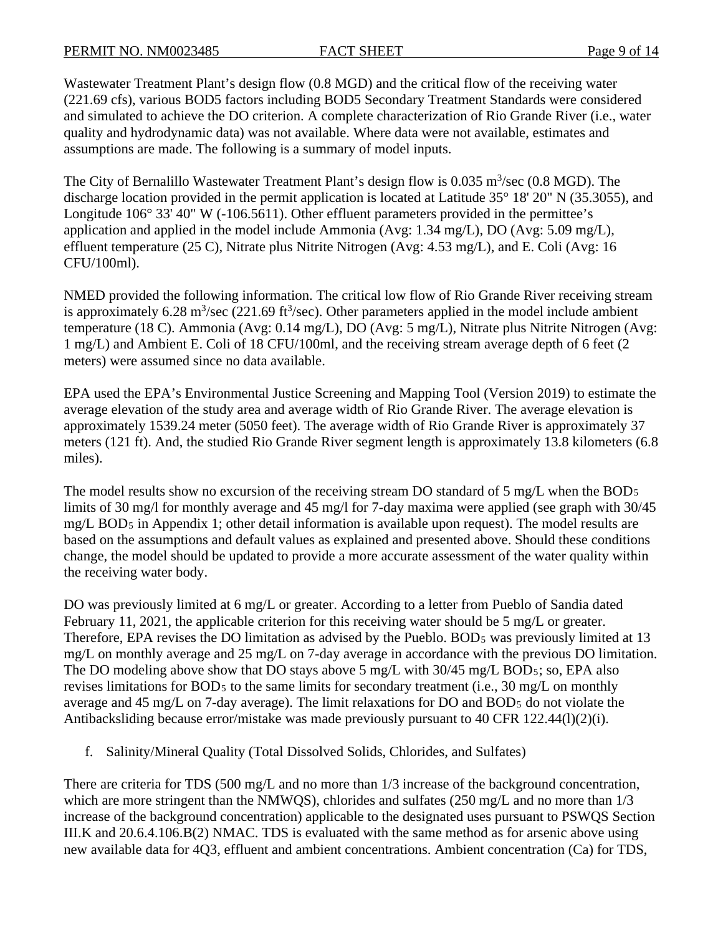Wastewater Treatment Plant's design flow (0.8 MGD) and the critical flow of the receiving water (221.69 cfs), various BOD5 factors including BOD5 Secondary Treatment Standards were considered and simulated to achieve the DO criterion. A complete characterization of Rio Grande River (i.e., water quality and hydrodynamic data) was not available. Where data were not available, estimates and assumptions are made. The following is a summary of model inputs.

The City of Bernalillo Wastewater Treatment Plant's design flow is  $0.035 \text{ m}^3/\text{sec}$  (0.8 MGD). The discharge location provided in the permit application is located at Latitude 35° 18' 20" N (35.3055), and Longitude 106° 33' 40" W (-106.5611). Other effluent parameters provided in the permittee's application and applied in the model include Ammonia (Avg: 1.34 mg/L), DO (Avg: 5.09 mg/L), effluent temperature (25 C), Nitrate plus Nitrite Nitrogen (Avg: 4.53 mg/L), and E. Coli (Avg: 16 CFU/100ml).

NMED provided the following information. The critical low flow of Rio Grande River receiving stream is approximately 6.28 m<sup>3</sup>/sec (221.69 ft<sup>3</sup>/sec). Other parameters applied in the model include ambient temperature (18 C). Ammonia (Avg: 0.14 mg/L), DO (Avg: 5 mg/L), Nitrate plus Nitrite Nitrogen (Avg: 1 mg/L) and Ambient E. Coli of 18 CFU/100ml, and the receiving stream average depth of 6 feet (2 meters) were assumed since no data available.

EPA used the EPA's Environmental Justice Screening and Mapping Tool (Version 2019) to estimate the average elevation of the study area and average width of Rio Grande River. The average elevation is approximately 1539.24 meter (5050 feet). The average width of Rio Grande River is approximately 37 meters (121 ft). And, the studied Rio Grande River segment length is approximately 13.8 kilometers (6.8 miles).

The model results show no excursion of the receiving stream DO standard of 5 mg/L when the  $BOD<sub>5</sub>$ limits of 30 mg/l for monthly average and 45 mg/l for 7-day maxima were applied (see graph with 30/45) mg/L BOD5 in Appendix 1; other detail information is available upon request). The model results are based on the assumptions and default values as explained and presented above. Should these conditions change, the model should be updated to provide a more accurate assessment of the water quality within the receiving water body.

DO was previously limited at 6 mg/L or greater. According to a letter from Pueblo of Sandia dated February 11, 2021, the applicable criterion for this receiving water should be 5 mg/L or greater. Therefore, EPA revises the DO limitation as advised by the Pueblo. BOD<sub>5</sub> was previously limited at 13 mg/L on monthly average and 25 mg/L on 7-day average in accordance with the previous DO limitation. The DO modeling above show that DO stays above 5 mg/L with 30/45 mg/L BOD<sub>5</sub>; so, EPA also revises limitations for BOD<sub>5</sub> to the same limits for secondary treatment (i.e., 30 mg/L on monthly average and 45 mg/L on 7-day average). The limit relaxations for DO and BOD5 do not violate the Antibacksliding because error/mistake was made previously pursuant to 40 CFR 122.44(l)(2)(i).

f. Salinity/Mineral Quality (Total Dissolved Solids, Chlorides, and Sulfates)

There are criteria for TDS (500 mg/L and no more than 1/3 increase of the background concentration, which are more stringent than the NMWOS), chlorides and sulfates (250 mg/L and no more than  $1/3$ increase of the background concentration) applicable to the designated uses pursuant to PSWQS Section III.K and 20.6.4.106.B(2) NMAC. TDS is evaluated with the same method as for arsenic above using new available data for 4Q3, effluent and ambient concentrations. Ambient concentration (Ca) for TDS,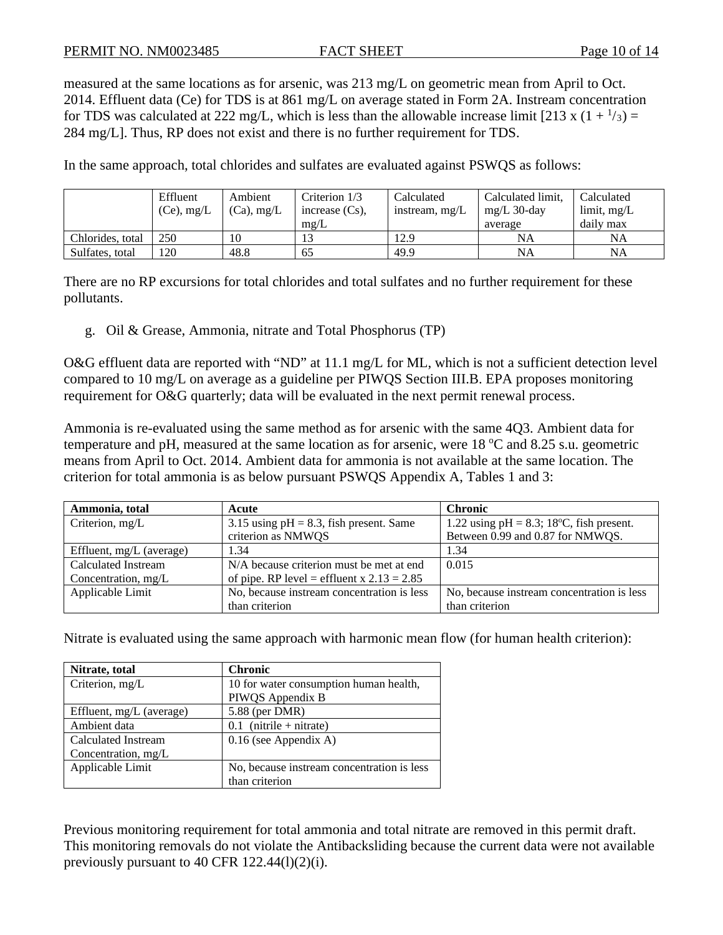measured at the same locations as for arsenic, was 213 mg/L on geometric mean from April to Oct. 2014. Effluent data (Ce) for TDS is at 861 mg/L on average stated in Form 2A. Instream concentration for TDS was calculated at 222 mg/L, which is less than the allowable increase limit [213 x  $(1 + \frac{1}{3}) =$ 284 mg/L]. Thus, RP does not exist and there is no further requirement for TDS.

In the same approach, total chlorides and sulfates are evaluated against PSWQS as follows:

|                  | Effluent<br>$(Ce)$ , mg/L | Ambient<br>$(Ca)$ , mg/L | Criterion 1/3<br>increase $(Cs)$ , | Calculated<br>instream, mg/L | Calculated limit,<br>mg/L $30$ -day | Calculated<br>$\lim$ it, mg/L |
|------------------|---------------------------|--------------------------|------------------------------------|------------------------------|-------------------------------------|-------------------------------|
|                  |                           |                          | $m\Omega/L$                        |                              | average                             | daily max                     |
| Chlorides, total | 250                       | 10                       | 13                                 | 12.9                         | NA                                  | NA                            |
| Sulfates, total  | 120                       | 48.8                     | 65                                 | 49.9                         | NA                                  | <b>NA</b>                     |

There are no RP excursions for total chlorides and total sulfates and no further requirement for these pollutants.

g. Oil & Grease, Ammonia, nitrate and Total Phosphorus (TP)

O&G effluent data are reported with "ND" at 11.1 mg/L for ML, which is not a sufficient detection level compared to 10 mg/L on average as a guideline per PIWQS Section III.B. EPA proposes monitoring requirement for O&G quarterly; data will be evaluated in the next permit renewal process.

Ammonia is re-evaluated using the same method as for arsenic with the same 4Q3. Ambient data for temperature and pH, measured at the same location as for arsenic, were  $18\text{ °C}$  and  $8.25 \text{ s.u.}$  geometric means from April to Oct. 2014. Ambient data for ammonia is not available at the same location. The criterion for total ammonia is as below pursuant PSWQS Appendix A, Tables 1 and 3:

| Ammonia, total           | Acute                                        | <b>Chronic</b>                                           |
|--------------------------|----------------------------------------------|----------------------------------------------------------|
| Criterion, mg/L          | 3.15 using $pH = 8.3$ , fish present. Same   | 1.22 using $pH = 8.3$ ; 18 <sup>o</sup> C, fish present. |
|                          | criterion as NMWQS                           | Between 0.99 and 0.87 for NMWQS.                         |
| Effluent, mg/L (average) | 1.34                                         | 1.34                                                     |
| Calculated Instream      | N/A because criterion must be met at end     | 0.015                                                    |
| Concentration, mg/L      | of pipe. RP level = effluent x $2.13 = 2.85$ |                                                          |
| Applicable Limit         | No, because instream concentration is less   | No, because instream concentration is less               |
|                          | than criterion                               | than criterion                                           |

Nitrate is evaluated using the same approach with harmonic mean flow (for human health criterion):

| Nitrate, total             | <b>Chronic</b>                             |
|----------------------------|--------------------------------------------|
| Criterion, mg/L            | 10 for water consumption human health,     |
|                            | PIWQS Appendix B                           |
| Effluent, $mg/L$ (average) | 5.88 (per DMR)                             |
| Ambient data               | $0.1$ (nitrile + nitrate)                  |
| Calculated Instream        | $0.16$ (see Appendix A)                    |
| Concentration, mg/L        |                                            |
| Applicable Limit           | No, because instream concentration is less |
|                            | than criterion                             |

Previous monitoring requirement for total ammonia and total nitrate are removed in this permit draft. This monitoring removals do not violate the Antibacksliding because the current data were not available previously pursuant to 40 CFR 122.44(l)(2)(i).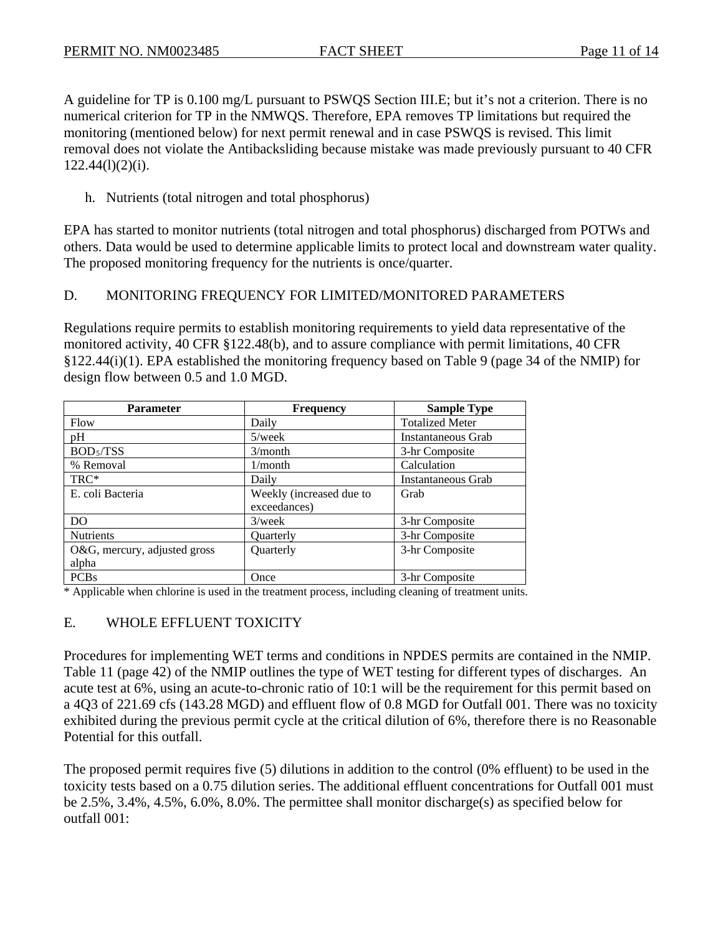A guideline for TP is 0.100 mg/L pursuant to PSWQS Section III.E; but it's not a criterion. There is no numerical criterion for TP in the NMWQS. Therefore, EPA removes TP limitations but required the monitoring (mentioned below) for next permit renewal and in case PSWQS is revised. This limit removal does not violate the Antibacksliding because mistake was made previously pursuant to 40 CFR  $122.44(l)(2)(i)$ .

#### h. Nutrients (total nitrogen and total phosphorus)

EPA has started to monitor nutrients (total nitrogen and total phosphorus) discharged from POTWs and others. Data would be used to determine applicable limits to protect local and downstream water quality. The proposed monitoring frequency for the nutrients is once/quarter.

#### D. MONITORING FREQUENCY FOR LIMITED/MONITORED PARAMETERS

Regulations require permits to establish monitoring requirements to yield data representative of the monitored activity, 40 CFR §122.48(b), and to assure compliance with permit limitations, 40 CFR §122.44(i)(1). EPA established the monitoring frequency based on Table 9 (page 34 of the NMIP) for design flow between 0.5 and 1.0 MGD.

| <b>Parameter</b>             | <b>Frequency</b>         | <b>Sample Type</b>     |
|------------------------------|--------------------------|------------------------|
| Flow                         | Daily                    | <b>Totalized Meter</b> |
| pH                           | $5$ /week                | Instantaneous Grab     |
| BOD <sub>5</sub> /TSS        | 3/month                  | 3-hr Composite         |
| % Removal                    | $1/m$ onth               | Calculation            |
| TRC*                         | Daily                    | Instantaneous Grab     |
| E. coli Bacteria             | Weekly (increased due to | Grab                   |
|                              | exceedances)             |                        |
| D <sub>O</sub>               | $3$ /week                | 3-hr Composite         |
| <b>Nutrients</b>             | <b>Ouarterly</b>         | 3-hr Composite         |
| O&G, mercury, adjusted gross | Quarterly                | 3-hr Composite         |
| alpha                        |                          |                        |
| <b>PCBs</b>                  | Once                     | 3-hr Composite         |

\* Applicable when chlorine is used in the treatment process, including cleaning of treatment units.

#### E. WHOLE EFFLUENT TOXICITY

Procedures for implementing WET terms and conditions in NPDES permits are contained in the NMIP. Table 11 (page 42) of the NMIP outlines the type of WET testing for different types of discharges. An acute test at 6%, using an acute-to-chronic ratio of 10:1 will be the requirement for this permit based on a 4Q3 of 221.69 cfs (143.28 MGD) and effluent flow of 0.8 MGD for Outfall 001. There was no toxicity exhibited during the previous permit cycle at the critical dilution of 6%, therefore there is no Reasonable Potential for this outfall.

The proposed permit requires five (5) dilutions in addition to the control (0% effluent) to be used in the toxicity tests based on a 0.75 dilution series. The additional effluent concentrations for Outfall 001 must be 2.5%, 3.4%, 4.5%, 6.0%, 8.0%. The permittee shall monitor discharge(s) as specified below for outfall 001: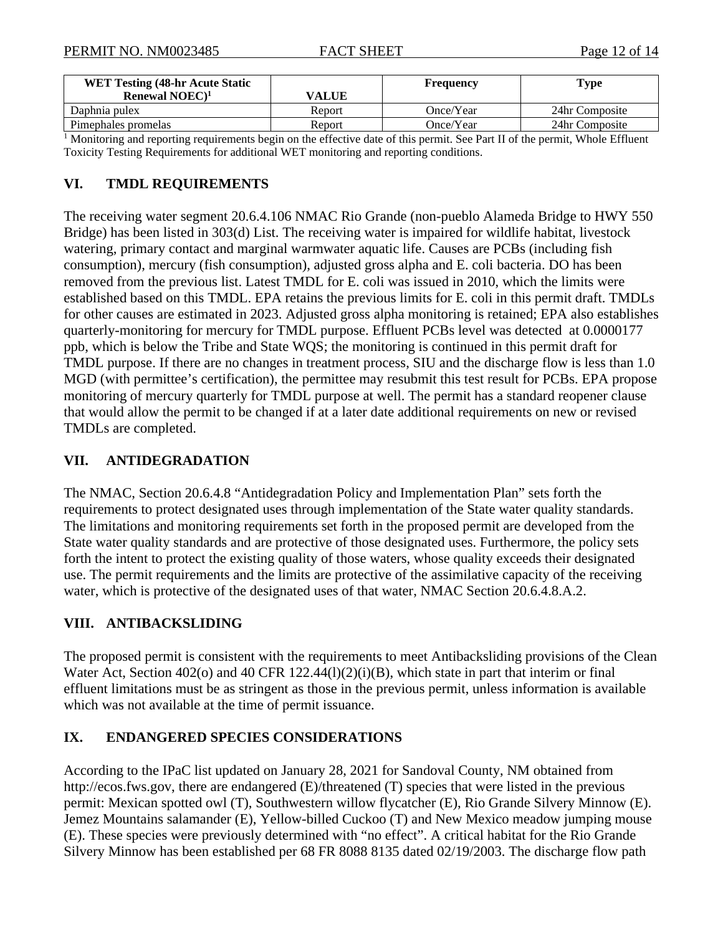| <b>WET Testing (48-hr Acute Static)</b> |        | <b>Frequency</b> | Type           |
|-----------------------------------------|--------|------------------|----------------|
| Renewal $NOEC$ <sup>1</sup>             | VALUE  |                  |                |
| Daphnia pulex                           | Report | Once/Year        | 24hr Composite |
| Pimephales promelas                     | Report | Once/Year        | 24hr Composite |

<sup>1</sup> Monitoring and reporting requirements begin on the effective date of this permit. See Part II of the permit, Whole Effluent Toxicity Testing Requirements for additional WET monitoring and reporting conditions.

#### **VI. TMDL REQUIREMENTS**

The receiving water segment 20.6.4.106 NMAC Rio Grande (non-pueblo Alameda Bridge to HWY 550 Bridge) has been listed in 303(d) List. The receiving water is impaired for wildlife habitat, livestock watering, primary contact and marginal warmwater aquatic life. Causes are PCBs (including fish consumption), mercury (fish consumption), adjusted gross alpha and E. coli bacteria. DO has been removed from the previous list. Latest TMDL for E. coli was issued in 2010, which the limits were established based on this TMDL. EPA retains the previous limits for E. coli in this permit draft. TMDLs for other causes are estimated in 2023. Adjusted gross alpha monitoring is retained; EPA also establishes quarterly-monitoring for mercury for TMDL purpose. Effluent PCBs level was detected at 0.0000177 ppb, which is below the Tribe and State WQS; the monitoring is continued in this permit draft for TMDL purpose. If there are no changes in treatment process, SIU and the discharge flow is less than 1.0 MGD (with permittee's certification), the permittee may resubmit this test result for PCBs. EPA propose monitoring of mercury quarterly for TMDL purpose at well. The permit has a standard reopener clause that would allow the permit to be changed if at a later date additional requirements on new or revised TMDLs are completed.

#### **VII. ANTIDEGRADATION**

The NMAC, Section 20.6.4.8 "Antidegradation Policy and Implementation Plan" sets forth the requirements to protect designated uses through implementation of the State water quality standards. The limitations and monitoring requirements set forth in the proposed permit are developed from the State water quality standards and are protective of those designated uses. Furthermore, the policy sets forth the intent to protect the existing quality of those waters, whose quality exceeds their designated use. The permit requirements and the limits are protective of the assimilative capacity of the receiving water, which is protective of the designated uses of that water, NMAC Section 20.6.4.8.A.2.

#### **VIII. ANTIBACKSLIDING**

The proposed permit is consistent with the requirements to meet Antibacksliding provisions of the Clean Water Act, Section 402(o) and 40 CFR 122.44(1)(2)(i)(B), which state in part that interim or final effluent limitations must be as stringent as those in the previous permit, unless information is available which was not available at the time of permit issuance.

#### **IX. ENDANGERED SPECIES CONSIDERATIONS**

According to the IPaC list updated on January 28, 2021 for Sandoval County, NM obtained from http://ecos.fws.gov, there are endangered (E)/threatened (T) species that were listed in the previous permit: Mexican spotted owl (T), Southwestern willow flycatcher (E), Rio Grande Silvery Minnow (E). Jemez Mountains salamander (E), Yellow-billed Cuckoo (T) and New Mexico meadow jumping mouse (E). These species were previously determined with "no effect". A critical habitat for the Rio Grande Silvery Minnow has been established per 68 FR 8088 8135 dated 02/19/2003. The discharge flow path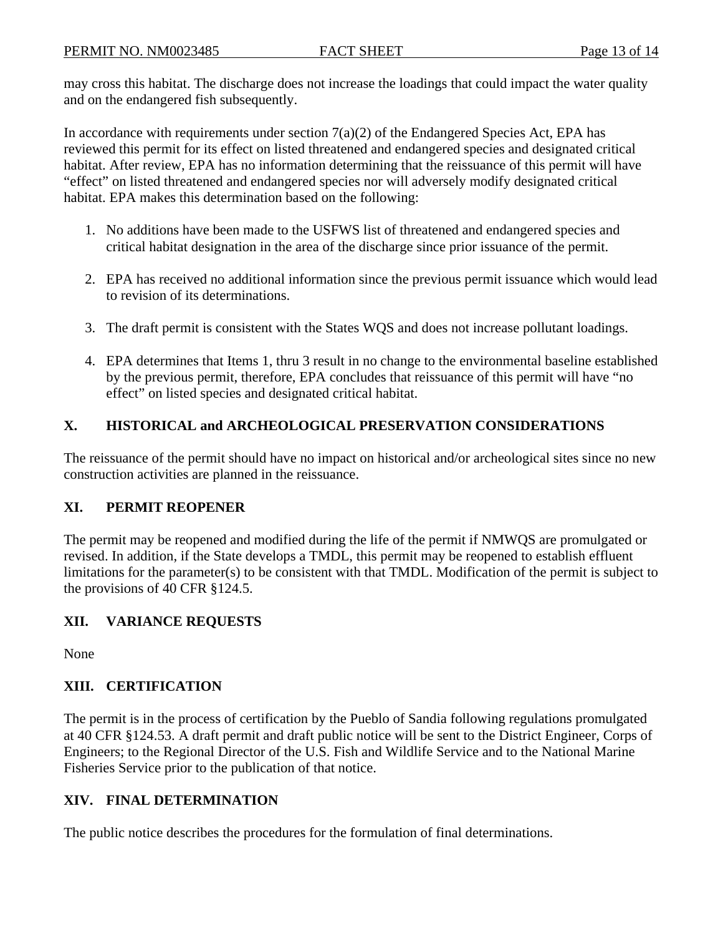may cross this habitat. The discharge does not increase the loadings that could impact the water quality and on the endangered fish subsequently.

In accordance with requirements under section  $7(a)(2)$  of the Endangered Species Act, EPA has reviewed this permit for its effect on listed threatened and endangered species and designated critical habitat. After review, EPA has no information determining that the reissuance of this permit will have "effect" on listed threatened and endangered species nor will adversely modify designated critical habitat. EPA makes this determination based on the following:

- 1. No additions have been made to the USFWS list of threatened and endangered species and critical habitat designation in the area of the discharge since prior issuance of the permit.
- 2. EPA has received no additional information since the previous permit issuance which would lead to revision of its determinations.
- 3. The draft permit is consistent with the States WQS and does not increase pollutant loadings.
- 4. EPA determines that Items 1, thru 3 result in no change to the environmental baseline established by the previous permit, therefore, EPA concludes that reissuance of this permit will have "no effect" on listed species and designated critical habitat.

# **X. HISTORICAL and ARCHEOLOGICAL PRESERVATION CONSIDERATIONS**

The reissuance of the permit should have no impact on historical and/or archeological sites since no new construction activities are planned in the reissuance.

# **XI. PERMIT REOPENER**

The permit may be reopened and modified during the life of the permit if NMWQS are promulgated or revised. In addition, if the State develops a TMDL, this permit may be reopened to establish effluent limitations for the parameter(s) to be consistent with that TMDL. Modification of the permit is subject to the provisions of 40 CFR §124.5.

# **XII. VARIANCE REQUESTS**

None

# **XIII. CERTIFICATION**

The permit is in the process of certification by the Pueblo of Sandia following regulations promulgated at 40 CFR §124.53. A draft permit and draft public notice will be sent to the District Engineer, Corps of Engineers; to the Regional Director of the U.S. Fish and Wildlife Service and to the National Marine Fisheries Service prior to the publication of that notice.

# **XIV. FINAL DETERMINATION**

The public notice describes the procedures for the formulation of final determinations.